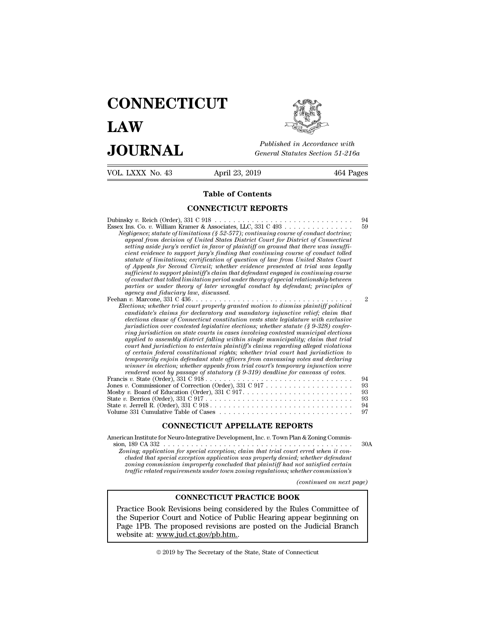## **CONNECTICUT LAW PUBLICE CONNECTICUT**<br> **Published in Accordance with**<br> **JOURNAL** *General Statutes Section 51-216a*<br> **Published in Accordance with**  $\begin{array}{cc}\n\textbf{LAW} & \overbrace{\text{Fubble} \text{m} \text{m}}\n\end{array}$ <br>  $\begin{array}{cc}\n\textbf{JOL RNAL} & \textbf{Pubits in According to the General Statistics Section 51-216a} \\
\hline\n\textbf{VOL LXXX No. 43} & \textbf{April 23, 2019} & \textbf{464 Pages}\n\end{array}$

Published in A<br>
General Statutes<br>
April 23, 2019<br> **Table of Contents<br>
INECTICUT REPORTS** 

General Statutes Section<br>
April 23, 2019<br> **Table of Contents<br>
CONNECTICUT REPORTS**<br>
31 C 918 Table of Contents<br>
CONNECTICUT REPORTS<br>
Dubinsky *v.* Reich (Order), 331 C 918<br>
Essex Ins. Co. *v.* William Kramer & Associates, LLC, 331 C 493<br>
Nediaence: statute of limitations (8 52-577): continuina course of conduct do **Table of Contents<br>
CONNECTICUT REPORTS**<br>
Dubinsky v. Reich (Order), 331 C 918<br>
Essex Ins. Co. v. William Kramer & Associates, LLC, 331 C 493<br> *Negligence; statute of limitations (§ 52-577); continuing course of conduct do* **Negligence; Statute of Contents**<br> **Negligence; statute of limitations (§ 52-577); continuing course of conduct doctrine;**<br> *Negligence*; statute of limitations (§ 52-577); continuing course of conduct doctrine;<br> *appeal f appeal from decision of United States District Court for District of Connecticut setting aside jury's verdict in favor of plaintiff on ground that there was insuffi***connect and that continuing that continuing to support in the support of that continuing that continuing course of conduct doctrine;**<br>*cappeare*, statute of limitations (§ 52-577); continuing course of conduct doctrine;<br>a *sky v.* Reich (Order), 331 C 918<br>
Ins. Co. *v.* William Kramer & Associates, LLC, 331 C 493<br> *gligence; statute of limitations (§ 52-577); continuing course of conduct doctrine;*<br> *appeal from decision of United States Di of Appeals for Second Circuit; whether evidence presented at trial was legally sufficient to support plaintiff's claim that defendant engaged in continuing course of conduct statute of lumutations (§ 52-577); continuing course of conduct doctrine;*<br>appeal from decision of United States District Court for District of Connecticut<br>setting aside jury's verdict in favor of plaintiff on *parties or undered to support jury's finding that continuing course of conduct tolled*<br>*parties of limitations; certification of question of law from United States Court*<br>of Appeals for Second Circuit; whether evidence pr Feehan v. Marcone, 331 C 436. . . . . . . . . . . cient evidence to support jury's junding that continuing course of conduct tolied<br>statute of limitations; certification of question of law from United States Court<br>of Appeals for Second Circuit; whether evidence presented *Elections; certification of question of law from United States Court of Appeals for Second Circuit; whether evidence presented at trial was legally sufficient to support plaintiffs claim that defendant engaged in continui candidate's for Second Circuit; whether evidence presented at trial was legally* sufficient to support plaintiff's claim that defendant engaged in continuing course of conduct that tolled limitation period under theory of *elections comport planntyf's claim that defendant engaged in continuing course* of conduct that tolled limitation period under theory of special relationship between parties or under theory of later wrongful conduct by de *igramis or under theory of later wrongful conduct by defendant; principles of* agency and fiduciary law, discussed.<br>  $\alpha$  agency and fiduciary law, aiscussed.<br>  $\alpha$  in the contest of  $\alpha$  is a context of  $\alpha$  is a context *ring jurisdiction on state courts in cases involving contested municipal elections applied to assembly district falling within single municipality; claim that trial court in the trial court properly granted motion to dismiss plaintiff political*<br>ections; whether trial court properly granted motion to dismiss plaintiff political<br>elections claims for declaratory and mandatory injunctiv *candidate's claims for declaratory and mandatory injunctive relief; claim that elections clause of Connecticut constitution vests state legislature with exclusive jurisdiction over contested legislative elections; whether temporary injunction were*  $t$  *temporary injunction were windered moot by passage of statutory (§ 9-319) deadline for canvass of votes.*<br>is v. State (Order), 331 C 918 *rendered mooten over contested legislative elections; whether statute (§ 9-328) conjer-*<br>*ring jurisdiction on state courts in cases involving contested municipal elections*<br>*court had jurisdiction to entertain plaintiff'* ring jurisdiction on state courts in cases involving contested municipal elections<br>applied to assembly district falling within single municipality; claim that trial<br>court had jurisdiction to entertain plantiff's claims reg applied to assembly astrict jalling within single municipality; claim that trial<br>court had jurisdiction to entertain plaintiff's claims regarding alleged violations<br>of certain federal constitutional rights; whether trial c court had jurisdiction to entertain plaintiff's claims regarding alleged violations<br>of certain federal constitutional rights; whether trial court had jurisdiction to<br>temporarily enjoin defendant state officers from canvass of certain *gederal constitutional rights*; whether trial court had jurisdiction to<br>
temporarily enjoin defendant state officers from canvassing votes and declaring<br>
winner in election; whether appeals from trial court's t temporarity enjoin defendant state officers from canvassing votes and declaring<br>winner in election; whether appeals from trial court's temporary injunction were<br>rendered moot by passage of statutory (§ 9-310) deadline for winner in election, whether appeals from trial court's temporary infunction were<br>reader moot by passage of statutory (§ 9-319) deadline for canvass of votes.<br>Francis v. State (Order), 331 C 918 . . . . . . . . . . . . . . Mosby *v.* Board of Education (Order), 331 C 917<br>
State *v.* Berrios (Order), 331 C 917<br>
State *v.* Jerrell R. (Order), 331 C 918<br>
Volume 331 Cumulative Table of Cases<br> **CONNECTICUT APPELLATE REPORTS**<br>
American Institute f

sion, 189 CA 331 C 917<br>
Since v. Jerrell R. (Order), 331 C 918<br>
Simme 331 Cumulative Table of Cases<br>
CONNECTICUT APPELLATE REPORTS<br>
Merican Institute for Neuro-Integrative Development, Inc. v. Town Plan & Zoning Commis-<br>
s *zoning; application for special exception; claim that trial court erred when it con-<br>
<i>Zoning; application for special exception; claim that trial court erred when it con-*<br> *Zoning; application for special exception; cla* <sup>231</sup> Cumulative Table of Cases<br> **CONNECTICUT APPELLATE REPORTS**<br> **condition application for special exception**; daim that trial court erred when it con-<br> *cluded that special exception application was properly denied; whe ZONNECTICUT APPELLATE REPORTS*<br> *zan Institute for Neuro-Integrative Development, Inc. v. Town Plan & Zoning Commis-<br>
<i>ning; application for special exception; claim that trial court erred when it concluded that special* **consistent CONNECTICUT APPELLATE REPORTS**<br> *traffic related for Neuro-Integrative Development, Inc. v. Town Plan & Zoning Commis-*<br> *n. 189 CA 332*<br> *ing, application for special exception, claim that trial court erred wh* In & Zoning Commis-<br> *(continued when it continued when it continued on targendant*<br> *(continued on next page)*<br> *(continued on next page)*<br> **z** 

For special exception; claim that trial court erred when it considers the difference of the difference of the difference of the difference of the many property concluded that plaintiff had not satisfied certain interments Fractice Book Revisions being considered on the Judicial Branch<br>Practice Book Revisions being consisted reviews of the Rules Consing consistion improperly concluded that plaintiff had not satisfied certain<br>traffic related

the Superior Court and Specification and the property concluded that plaintiff had not satisfied certain<br>traffic related requirements under town zoning regulations; whether commission's<br>traffic related requirements under t traffic related requirements under town zoning regulations; whether commission's<br>
(continued on next page)<br>
CONNECTICUT PRACTICE BOOK<br>
Practice Book Revisions being considered by the Rules Committee of<br>
the Superior Court **CONNECTICUT PRAC**<br>Practice Book Revisions being considere<br>the Superior Court and Notice of Public<br>Page 1PB. The proposed revisions are p<br>website at: www.jud.ct.gov/pb.htm... Practice Book Revisions being considered by the Rules Committee of<br>the Superior Court and Notice of Public Hearing appear beginning on<br>Page 1PB. The proposed revisions are posted on the Judicial Branch<br>website at: <u>www.jud</u>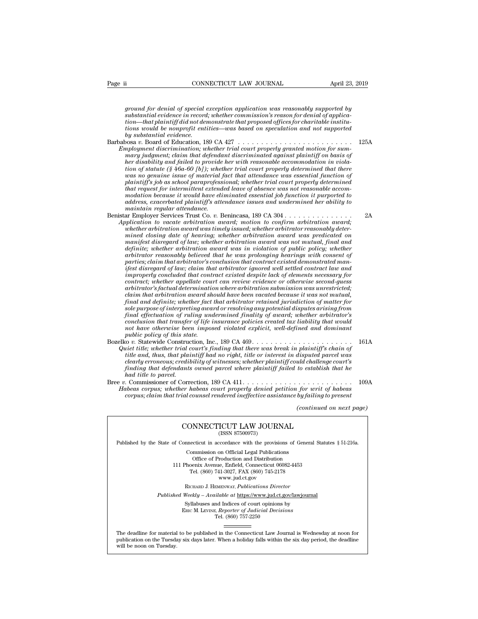*ground for denial of special exception application was reasonably supported by*<br>*ground for denial of special exception application was reasonably supported by*<br>*substantial evidence in record; whether commission's reason substantial evidence in CONNECTICUT LAW JOURNAL April 23*<br>*ground for denial of special exception application was reasonably supported by*<br>*substantial evidence in record; whether commission's reason for denial of applica ti* connect that *the complement of special exception application was reasonably supported by*<br>*that plaintiff did not demonstrate that proposed offices for demial of application—that plaintiff did not demonstrate that pr ti* consider the non-profit consideration was reasonably supported by<br>*ground for denial of special exception application was reasonably supported by*<br>*substantial evidence in record; whether commission's reason for denia ground for denial of special exception application was reasonably supported by*<br>substantial evidence in record; whether commission's reason for denial of applica-<br>tion—that plaintiff did not demonstrate that proposed offi a *ground for denial of special exception application was reasonably supported by*<br>substantial evidence in record; whether commission's reason for denial of applica-<br>tion—that plaintiff did not demonstrate that proposed of

- *Employment discrimination; whether trial court properly granted motion for sumground jor denial of special exception application was reasonably supported by<br>substantial evidence in record; whether commission's reason for denial of applica-<br>tion—that plaintiff did not demonstrate that proposed offic here is a would be nonprofit entities—was based on speculation and not supported*<br>by substantial evidence.<br>
hosa v. Board of Education, 189 CA 427<br> *imployment discrimination; whether trial court properly granted motion f tion—that plainty ara not aemonstrate that proposea offices for charitaties*<br>*tions would be norrofit entities—was based on speculation and not supported*<br>*by substantial evidence.*<br> $\log x$ . Board of Education, 189 CA 427<br>*was would be nonpropit entities—was based on speculation and not supported* by substantial evidence.<br>
by substantial evidence.<br>  $w_1w_2w_3w_4$  is constant of Education, 189 CA 427<br>  $w_1w_2w_3w_4$  is a material court prope *plainting the school paraprofessional;* and the school paralistic posar w. Board of Education, 189 CA 427<br> *player at discrimination; whether trial court properly granted motion for sum-mary judgment, claim that defendant that request for intermittent extended leave of absence was not reasonable accommployment discrimination; whether trad court property granted motion for summary judgment; claim that defendant discriminated against plaintiff on basis of her disability and failed to provide her with reasonable accommod address, mary judgment; claim that defendant discriminated against plaintiff on basis of* ther disability and failed to provide her with reasonable accommodation in violation of statute (§ 46a-60 [b]); whether trial court *that request for intermittent extended leave of absence was not reasonable accommodation because it would have eliminated essential job function it purported to address, exacerbated plaintiff's attendance issues and under* rom of statute (\$ 40a-00 [0]); whether trial court property aetermined that there<br>
was no genuine issue of material fact that attendance was essential function of<br>
plaintiff's job as school paraprofessional; whether trial *Application to vacate arbitration award arbitration arbitration are arbitration are that request for intermined that request of a beneficial confidencies modation because it would have eliminated essential job function it*
- *whether arbitration award was timely issued; whether arbitrator reasonably determatrequest for intermittent extended leave of absence was not reasonable accommodation because it would have eliminated essential job function it purported to andress, exacerbated plaintiff's attendance issues and undermi modation because it would have eliminated essential job junction it purported to*<br>address, exacerbated plaintiff's attendance issues and undermined her ability to<br>maintain regular attendance.<br>ar Employer Services Trust Co *definite; whether arbitration award was in violation of public policy; whether arbitrator reasonably believed that he was prolonging hearings with consent of parties; claim that arbitrator's conclusion that contract existed demonstrated man*pplication to vacate arbitration award; motion to confirm arbitration award;<br>whether arbitration award was timely issued; whether arbitrator reasonably deter-<br>mined closing date of hearing; whether arbitration award was pr whether arbitration award was timely issued; whether arbitrator reasonably determined closing date of hearing; whether arbitration award was not mutual, final and manifest disregard of law; whether arbitration award was in *contract; whether appellate of hearing contraction award was predicated on* manifest disregard of law; whether arbitration award was not mutual, final and definite; whether arbitration award was in violation gpiblic pol manylest disregard of law; whether arbitration award was not mutual, final and<br>definite; whether arbitration award was in violation of public policy; whether<br>arbitrator reasonably believed that he was prolonging hearings w *claim te; whether arbitration award was in violation of public policy; whether*<br>arbitrator reasonably believed that he was prolonging hearings with consent of<br>parties; claim that arbitrator's conclusion that contract exis arbitrator reasonably betieved that he was prolonging hearings with consent of parties; claim that arbitrator's conclusion that contract existed demonstrated manifest disregard of law; claim that withrator ignore well sett parties; claim that arbitrator's conclusion that contract existed demonstrated manifest disregard of law; claim that arbitrator ignored well settled contract law and improperly concluded that contract existed despite lack *ffest arsregard of law; clarm that arbitrator ignored well settled contract law and* improperly concluded that contract existed despite lack of elements necessary for contract; whether appellate court can review evidence *concluded that contract existed despite lack of elements necessary for*<br>contract; whether appellate court can review evidence or otherwise second-guess<br>arbitrator's factual determination where arbitration submission was u *contract; whether appellate court can review evidence or otherwise second-guess*<br>arbitrator's factual determination where arbitration submission was unrestricted;<br>claim that arbitration award should have been vacated beca *arbitrator's jactual determination*<br>*claim that arbitration award shippinal and definite; whether fact<br>sole purpose of interpreting award final effectuation of ruling unc<br>conclusion that transfer of life i<br>policy of this* Exam that arouration award should have been vacated because it was not mutual,<br>final and definite; whether fact that arbitrator retained jurisdiction of matter for<br>sole purpose of interpreting award or resolving any potent *Guiet title; whether plait and arourdor retained jurisation of matter jor*<br> *Shee purpose of interpreting award or resolving any potential disputes arising from*<br> *final effectuation of ruling undermined finality of award*
- *tional effectuation of Tuling undra or resolving any potential asspites arising from*<br> *tinal effectuation of Tuling undermined finality of award; whether arbitrator's*<br> *toorlasion that transfer of life insurance policie conclusion that transfer of life insurance policies created tax liability that would conclusion that transfer of life insurance policies created tax liability that would not have otherwise been imposed violated explicit, finding that defendants owned widded explicit, well-defined and dominant have otherwise been imposed violated explicit, well-defined and dominant public policy of this state.*<br> *finding that there was break in plaintiff's* mot nave otherwise been<br>public policy of this sta<br>co v. Statewide Construct<br>title ind, thus, that plai<br>clearly erroneous; credit<br>finding that defendants<br>had title to parcel.<br>Commissioner of Corre<br>thes cormus: whether h Bree *v.* Commissioner of Correction, 189 CA 411 . . . . . . . . . . . . . . . . . . . . . . . . 109A *Habeas corpus; whether habeas court properly denied petition for writ of habeas chat trial counsel rend counts in the main that there was break in plaintiff schain of* trial *cand, thus, that plaintiff had no right, title or interest in disputed parcel was clearly erroneous; credibility of winesses; (d)* definition that he counts to establish that he<br> *for writ of habeas*<br> *by failing to present*<br> *(continued on next page)*

CONNECTICUT LAW JOURNAL

# corpus; claim that trial counsel rendered ineffective assistance by failing to present<br>(continued on next<br>CONNECTICUT LAW JOURNAL<br>(ISSN 87500973)

 $\begin{tabular}{l|l|l} \hline & (continued on next page) \\ \hline (CONNECTICUT LAW JOURNAL \\ (ISSN 87500973) \\ \hline \end{tabular}$  \hline \begin{tabular}{l|l|l|} \hline \multicolumn{3}{c}{\text{Published by the State of Connecticut in accordance with the provisions of General Statistics § 51-216a.} \\ \hline \multicolumn{3}{c}{\text{Commission on Official Legal Publications}} \\ \hline \end{tabular}

CONNECTICUT LAW JOURNAL<br>
(ISSN 87500973)<br>
inecticut in accordance with the provisions of Gener<br>
Commission on Official Legal Publications<br>
Office of Production and Distribution<br>
office of Production and Distribution **NNECTICUT LAW JOURNAL**<br>
(ISSN 87500973)<br>
cticut in accordance with the provisions of Gener<br>
mmission on Official Legal Publications<br>
Office of Production and Distribution<br>
centra Avenue, Enfield, Connecticut 06082-4453<br>
b CONNECTICUT LAW JOURNAL<br>
(ISSN 87500973)<br>
of Connecticut in accordance with the provisions of General Statu<br>
Commission on Official Legal Publications<br>
Office of Production and Distribution<br>
111 Phoenix Avenue, Enfield, Co (ISSN 87500973)<br>ecticut in accordance with the provisions of Gener<br>ommission on Official Legal Publications<br>Office of Production and Distribution<br>oenix Avenue, Enfield, Connecticut 06082-4453<br>Tel. (860) 741-3027, FAX (860 reordance with the provision<br>on Official Legal Publication<br>roduction and Distribution<br>e, Enfield, Connecticut 06<br>11-3027, FAX (860) 745-21'<br>www.jud.ct.gov<br>zENWAY, *Publications Dire* Rommission on Official Legal Publications<br>
Office of Production and Distribution<br>
Phoenix Avenue, Enfield, Connecticut 06082-4453<br>
Tel. (860) 741-3027, FAX (860) 745-2178<br>
www.jud.ct.gov<br>
RICHARD J. HEMENWAY, Publications Office of Production and Distribution<br>
111 Phoenix Avenue, Enfield, Connecticut 06082-4453<br>
Tel. (860) 741-3027, FAX (860) 745-2178<br>
www.jud.ct.gov<br>
RICHARD J. HEMENWAY, *Publications Director*<br> *Published Weekly – Availab* Phoenix Avenue, Enfield, Connecticut 06082-4453<br>
Tel. (860) 741-3027, FAX (860) 745-2178<br>
www.jud.ct.gov<br>
RICHARD J. HEMENWAY, *Publications Director*<br>
Weekly – Available at <u>https://www.jud.ct.gov/lawjourna</u><br>
Syllabuses a

 $\begin{array}{c} \text{www. judc.t.gov} \\ \text{RICHARD J. HEMENTway, *Publications Director} \\ \text{Weekly - Available at <a href="https://www.judc.t.gov/}{https://www.judc.t.gov/}{https://www.judc.t.gov/}{\small Syllabuses} \text{ and Indices of court opinions by} \\ \text{Enc}\textbf{M.} \text{LEvINE, } \text{Reporter of } \text{Judicial Decisions} \\ \text{Tei.} \text{ (860) } 757\text{-}2250 \end{array}</math>*$ 

Published Weekly – Available at https://www.jud.ct.gov/lawjournal<br>Syllabuses and Indices of court opinions by<br>ERIC M. LEVINE, Reporter of Judicial Decisions<br>The deadline for material to be published in the Connecticut Law  $\begin{tabular}{l} \bf Syllabuses\ and\ Indices\ of\ court\ opinions\ by\\ \bf Enc\ M.\ LevINE,\ \textit{Reporter of\ Judicial\ Decisions}\\ \bf Tel.\ (860)\ 757-2250\\ \end{tabular}$  <br> The deadline for material to be published in the Connecticut Law Journal is Wednesday at noon for publication on the Tuesday six days later The deadline for material<br>publication on the Tuesday.<br>will be noon on Tuesday.